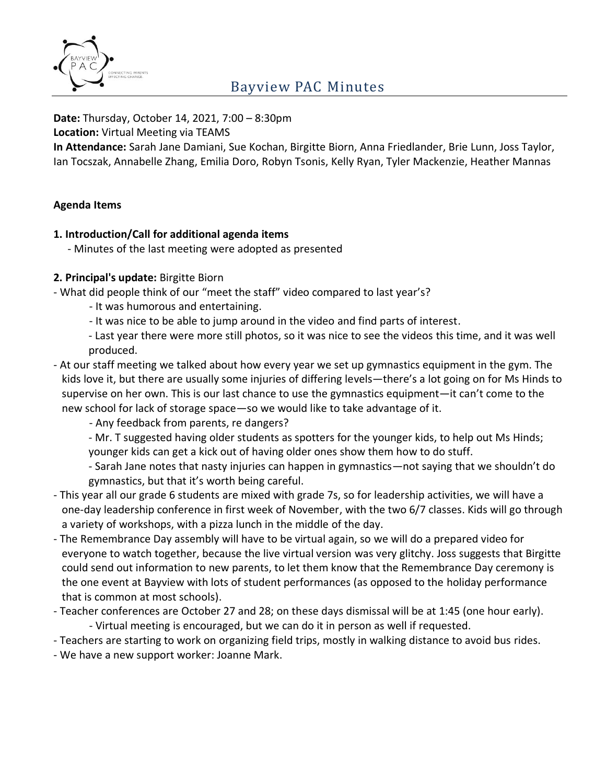

# Bayview PAC Minutes

#### **Date:** Thursday, October 14, 2021, 7:00 – 8:30pm

**Location:** Virtual Meeting via TEAMS

**In Attendance:** Sarah Jane Damiani, Sue Kochan, Birgitte Biorn, Anna Friedlander, Brie Lunn, Joss Taylor, Ian Tocszak, Annabelle Zhang, Emilia Doro, Robyn Tsonis, Kelly Ryan, Tyler Mackenzie, Heather Mannas

### **Agenda Items**

### **1. Introduction/Call for additional agenda items**

- Minutes of the last meeting were adopted as presented

## **2. Principal's update:** Birgitte Biorn

- What did people think of our "meet the staff" video compared to last year's?
	- It was humorous and entertaining.
	- It was nice to be able to jump around in the video and find parts of interest.
	- Last year there were more still photos, so it was nice to see the videos this time, and it was well produced.
- At our staff meeting we talked about how every year we set up gymnastics equipment in the gym. The kids love it, but there are usually some injuries of differing levels—there's a lot going on for Ms Hinds to supervise on her own. This is our last chance to use the gymnastics equipment—it can't come to the new school for lack of storage space—so we would like to take advantage of it.

- Any feedback from parents, re dangers?

- Mr. T suggested having older students as spotters for the younger kids, to help out Ms Hinds; younger kids can get a kick out of having older ones show them how to do stuff.

- Sarah Jane notes that nasty injuries can happen in gymnastics—not saying that we shouldn't do gymnastics, but that it's worth being careful.

- This year all our grade 6 students are mixed with grade 7s, so for leadership activities, we will have a one-day leadership conference in first week of November, with the two 6/7 classes. Kids will go through a variety of workshops, with a pizza lunch in the middle of the day.
- The Remembrance Day assembly will have to be virtual again, so we will do a prepared video for everyone to watch together, because the live virtual version was very glitchy. Joss suggests that Birgitte could send out information to new parents, to let them know that the Remembrance Day ceremony is the one event at Bayview with lots of student performances (as opposed to the holiday performance that is common at most schools).
- Teacher conferences are October 27 and 28; on these days dismissal will be at 1:45 (one hour early). - Virtual meeting is encouraged, but we can do it in person as well if requested.
- Teachers are starting to work on organizing field trips, mostly in walking distance to avoid bus rides.
- We have a new support worker: Joanne Mark.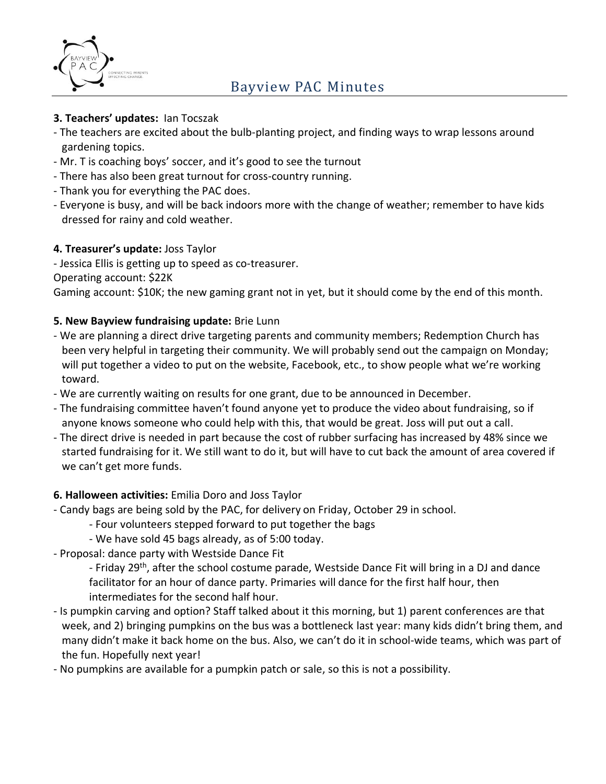

- **3. Teachers' updates:** Ian Tocszak
- The teachers are excited about the bulb-planting project, and finding ways to wrap lessons around gardening topics.
- Mr. T is coaching boys' soccer, and it's good to see the turnout
- There has also been great turnout for cross-country running.
- Thank you for everything the PAC does.
- Everyone is busy, and will be back indoors more with the change of weather; remember to have kids dressed for rainy and cold weather.

## **4. Treasurer's update:** Joss Taylor

- Jessica Ellis is getting up to speed as co-treasurer.

Operating account: \$22K

Gaming account: \$10K; the new gaming grant not in yet, but it should come by the end of this month.

## **5. New Bayview fundraising update:** Brie Lunn

- We are planning a direct drive targeting parents and community members; Redemption Church has been very helpful in targeting their community. We will probably send out the campaign on Monday; will put together a video to put on the website, Facebook, etc., to show people what we're working toward.
- We are currently waiting on results for one grant, due to be announced in December.
- The fundraising committee haven't found anyone yet to produce the video about fundraising, so if anyone knows someone who could help with this, that would be great. Joss will put out a call.
- The direct drive is needed in part because the cost of rubber surfacing has increased by 48% since we started fundraising for it. We still want to do it, but will have to cut back the amount of area covered if we can't get more funds.

### **6. Halloween activities:** Emilia Doro and Joss Taylor

- Candy bags are being sold by the PAC, for delivery on Friday, October 29 in school.
	- Four volunteers stepped forward to put together the bags
	- We have sold 45 bags already, as of 5:00 today.
- Proposal: dance party with Westside Dance Fit

- Friday 29<sup>th</sup>, after the school costume parade, Westside Dance Fit will bring in a DJ and dance facilitator for an hour of dance party. Primaries will dance for the first half hour, then intermediates for the second half hour.

- Is pumpkin carving and option? Staff talked about it this morning, but 1) parent conferences are that week, and 2) bringing pumpkins on the bus was a bottleneck last year: many kids didn't bring them, and many didn't make it back home on the bus. Also, we can't do it in school-wide teams, which was part of the fun. Hopefully next year!
- No pumpkins are available for a pumpkin patch or sale, so this is not a possibility.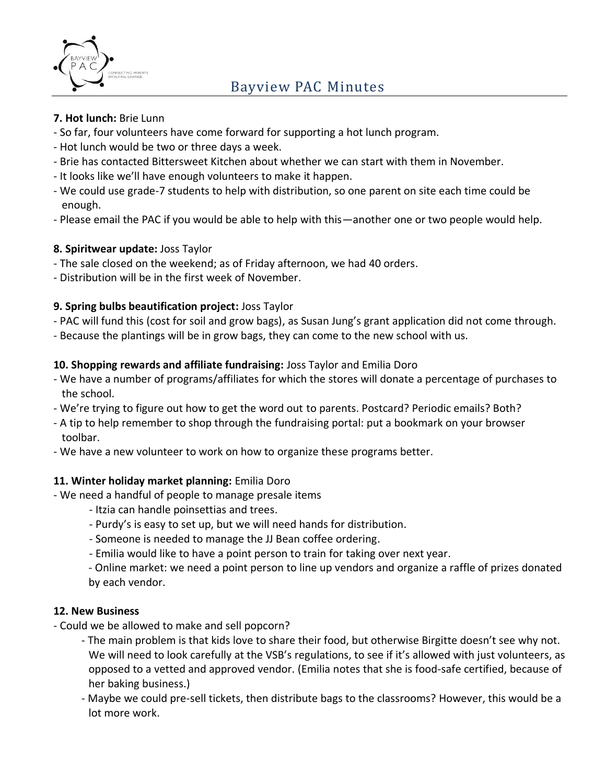

### **7. Hot lunch:** Brie Lunn

- So far, four volunteers have come forward for supporting a hot lunch program.
- Hot lunch would be two or three days a week.
- Brie has contacted Bittersweet Kitchen about whether we can start with them in November.
- It looks like we'll have enough volunteers to make it happen.
- We could use grade-7 students to help with distribution, so one parent on site each time could be enough.
- Please email the PAC if you would be able to help with this—another one or two people would help.

## **8. Spiritwear update:** Joss Taylor

- The sale closed on the weekend; as of Friday afternoon, we had 40 orders.
- Distribution will be in the first week of November.

## **9. Spring bulbs beautification project:** Joss Taylor

- PAC will fund this (cost for soil and grow bags), as Susan Jung's grant application did not come through.
- Because the plantings will be in grow bags, they can come to the new school with us.

## **10. Shopping rewards and affiliate fundraising:** Joss Taylor and Emilia Doro

- We have a number of programs/affiliates for which the stores will donate a percentage of purchases to the school.
- We're trying to figure out how to get the word out to parents. Postcard? Periodic emails? Both?
- A tip to help remember to shop through the fundraising portal: put a bookmark on your browser toolbar.
- We have a new volunteer to work on how to organize these programs better.

### **11. Winter holiday market planning:** Emilia Doro

- We need a handful of people to manage presale items
	- Itzia can handle poinsettias and trees.
	- Purdy's is easy to set up, but we will need hands for distribution.
	- Someone is needed to manage the JJ Bean coffee ordering.
	- Emilia would like to have a point person to train for taking over next year.

- Online market: we need a point person to line up vendors and organize a raffle of prizes donated by each vendor.

### **12. New Business**

- Could we be allowed to make and sell popcorn?
	- The main problem is that kids love to share their food, but otherwise Birgitte doesn't see why not. We will need to look carefully at the VSB's regulations, to see if it's allowed with just volunteers, as opposed to a vetted and approved vendor. (Emilia notes that she is food-safe certified, because of her baking business.)
	- Maybe we could pre-sell tickets, then distribute bags to the classrooms? However, this would be a lot more work.